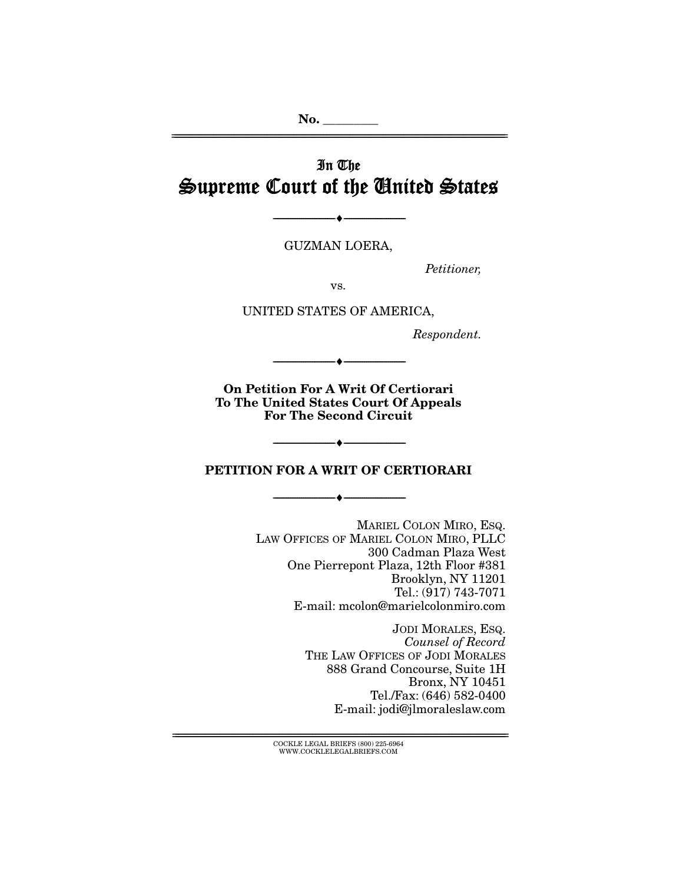**No. \_\_\_\_\_\_\_\_\_**  ================================================================================================================

## In The Supreme Court of the United States

GUZMAN LOERA,

--------------------------------- ♦ ---------------------------------

Petitioner,

vs.

UNITED STATES OF AMERICA,

Respondent.

**On Petition For A Writ Of Certiorari To The United States Court Of Appeals For The Second Circuit** 

--------------------------------- ♦ ---------------------------------

#### **PETITION FOR A WRIT OF CERTIORARI**

--------------------------------- ♦ ---------------------------------

--------------------------------- ♦ ---------------------------------

MARIEL COLON MIRO, ESQ. LAW OFFICES OF MARIEL COLON MIRO, PLLC 300 Cadman Plaza West One Pierrepont Plaza, 12th Floor #381 Brooklyn, NY 11201 Tel.: (917) 743-7071 E-mail: mcolon@marielcolonmiro.com

> JODI MORALES, ESQ. Counsel of Record THE LAW OFFICES OF JODI MORALES 888 Grand Concourse, Suite 1H Bronx, NY 10451 Tel./Fax: (646) 582-0400 E-mail: jodi@jlmoraleslaw.com

================================================================================================================ COCKLE LEGAL BRIEFS (800) 225-6964 WWW.COCKLELEGALBRIEFS.COM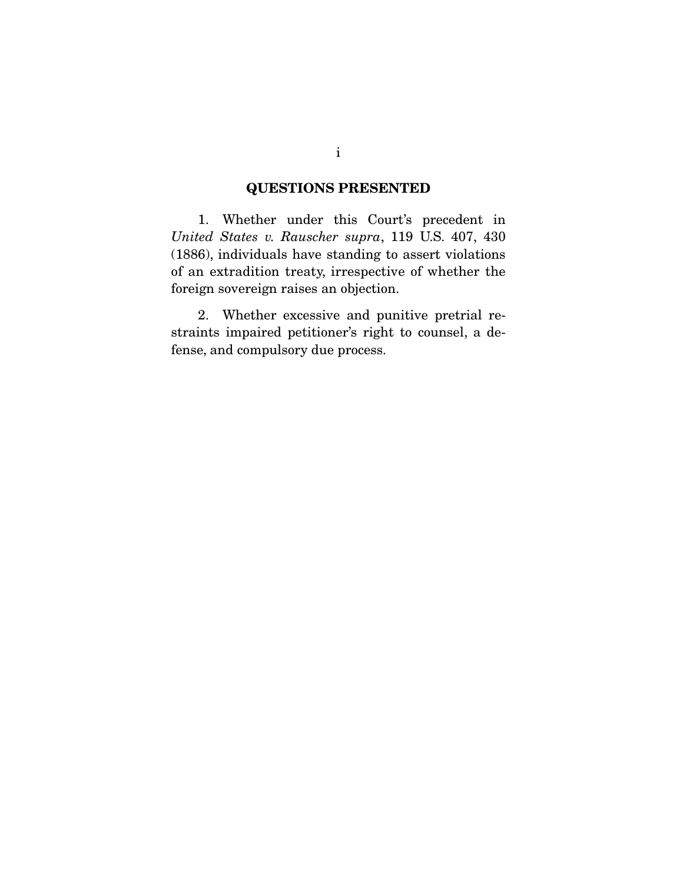## **QUESTIONS PRESENTED**

 1. Whether under this Court's precedent in United States v. Rauscher supra, 119 U.S. 407, 430 (1886), individuals have standing to assert violations of an extradition treaty, irrespective of whether the foreign sovereign raises an objection.

 2. Whether excessive and punitive pretrial restraints impaired petitioner's right to counsel, a defense, and compulsory due process.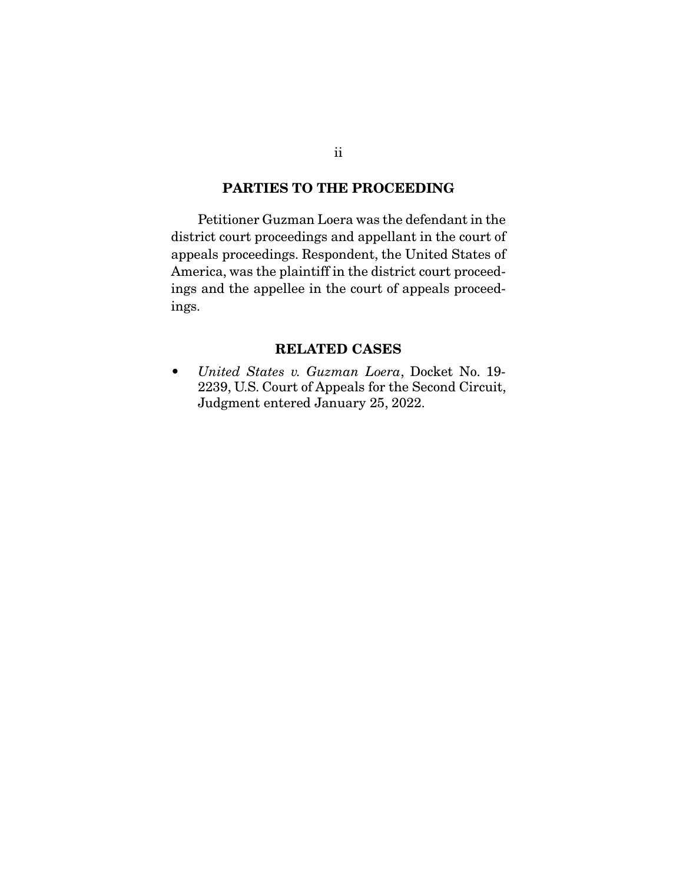### **PARTIES TO THE PROCEEDING**

Petitioner Guzman Loera was the defendant in the district court proceedings and appellant in the court of appeals proceedings. Respondent, the United States of America, was the plaintiff in the district court proceedings and the appellee in the court of appeals proceedings.

### **RELATED CASES**

• United States v. Guzman Loera, Docket No. 19- 2239, U.S. Court of Appeals for the Second Circuit, Judgment entered January 25, 2022.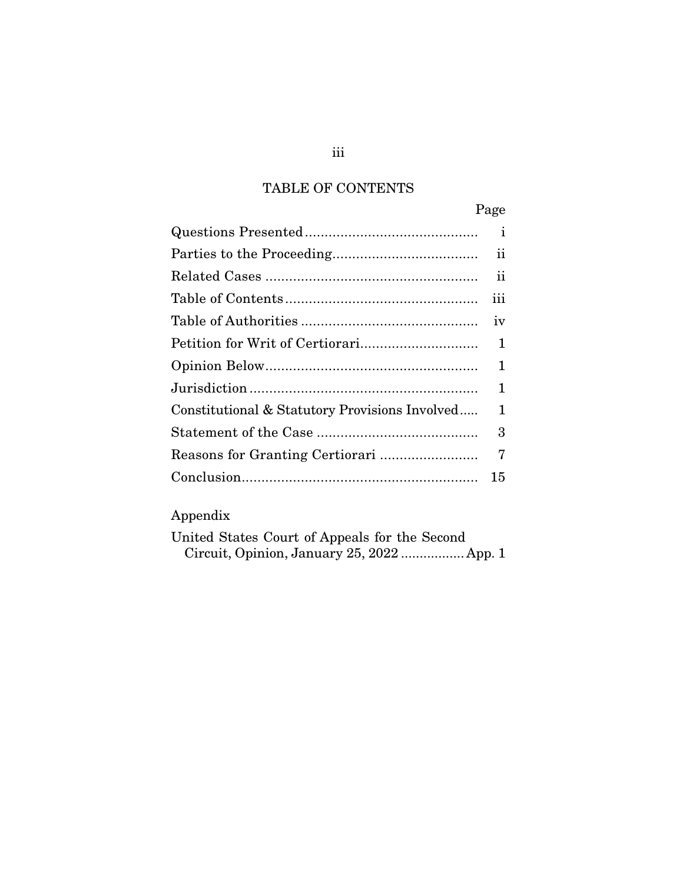## TABLE OF CONTENTS

|                                                | Page         |
|------------------------------------------------|--------------|
|                                                | $\mathbf{1}$ |
|                                                | ii           |
|                                                | 11           |
|                                                | iii          |
|                                                | iv           |
|                                                | 1            |
|                                                | 1            |
|                                                | 1            |
| Constitutional & Statutory Provisions Involved | 1            |
|                                                | 3            |
| Reasons for Granting Certiorari                | 7            |
|                                                | 15           |

# Appendix

| United States Court of Appeals for the Second |                                            |  |  |
|-----------------------------------------------|--------------------------------------------|--|--|
|                                               | Circuit, Opinion, January 25, 2022  App. 1 |  |  |

## iii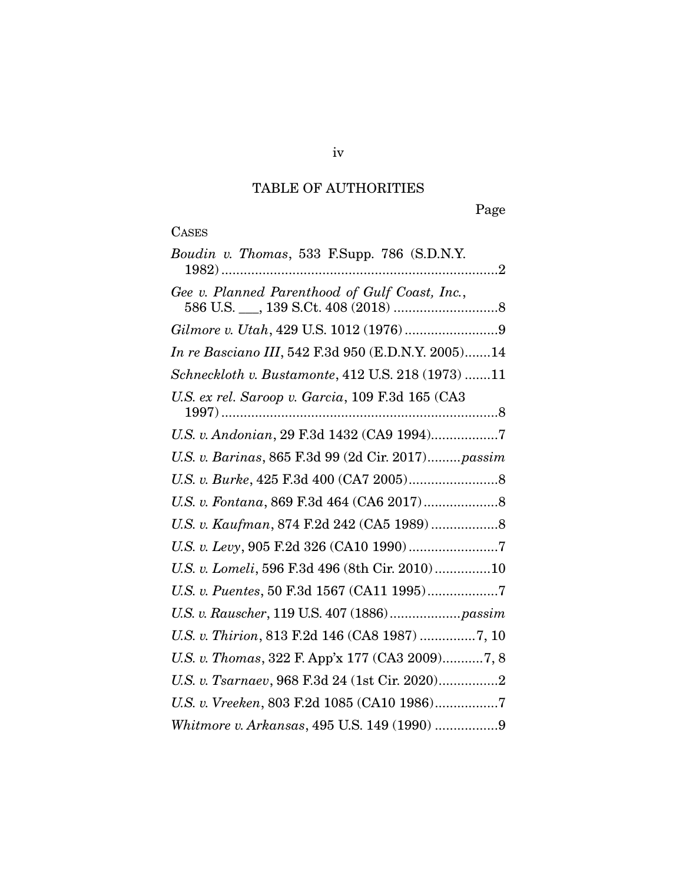## TABLE OF AUTHORITIES

Page

|  | <br>ׇ֠֕֡ |
|--|----------|

| Boudin v. Thomas, 533 F.Supp. 786 (S.D.N.Y.        |
|----------------------------------------------------|
| Gee v. Planned Parenthood of Gulf Coast, Inc.,     |
|                                                    |
| In re Basciano III, 542 F.3d 950 (E.D.N.Y. 2005)14 |
| Schneckloth v. Bustamonte, 412 U.S. 218 (1973) 11  |
| U.S. ex rel. Saroop v. Garcia, 109 F.3d 165 (CA3   |
| U.S. v. Andonian, 29 F.3d 1432 (CA9 1994)7         |
| U.S. v. Barinas, 865 F.3d 99 (2d Cir. 2017)passim  |
|                                                    |
|                                                    |
|                                                    |
|                                                    |
| U.S. v. Lomeli, 596 F.3d 496 (8th Cir. 2010)10     |
| U.S. v. Puentes, 50 F.3d 1567 (CA11 1995)7         |
|                                                    |
| U.S. v. Thirion, 813 F.2d 146 (CA8 1987) 7, 10     |
| U.S. v. Thomas, 322 F. App'x 177 (CA3 2009)7, 8    |
| U.S. v. Tsarnaev, 968 F.3d 24 (1st Cir. 2020)2     |
| U.S. v. Vreeken, 803 F.2d 1085 (CA10 1986)7        |
| Whitmore v. Arkansas, 495 U.S. 149 (1990) 9        |

iv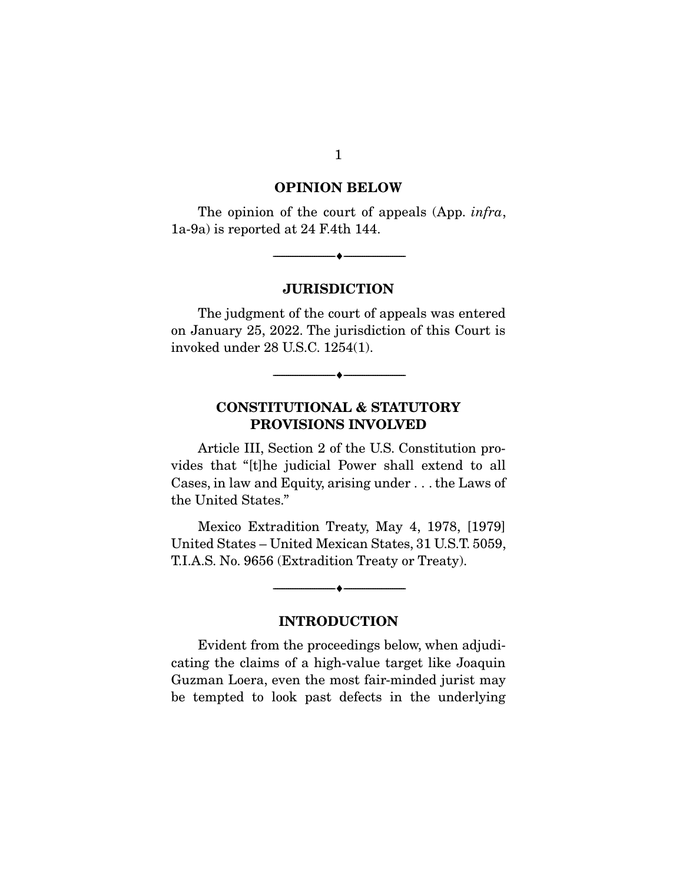#### **OPINION BELOW**

The opinion of the court of appeals (App. *infra*, 1a-9a) is reported at 24 F.4th 144.

--------------------------------- ♦ ---------------------------------

#### **JURISDICTION**

 The judgment of the court of appeals was entered on January 25, 2022. The jurisdiction of this Court is invoked under 28 U.S.C. 1254(1).

--------------------------------- ♦ ---------------------------------

## **CONSTITUTIONAL & STATUTORY PROVISIONS INVOLVED**

 Article III, Section 2 of the U.S. Constitution provides that "[t]he judicial Power shall extend to all Cases, in law and Equity, arising under . . . the Laws of the United States."

 Mexico Extradition Treaty, May 4, 1978, [1979] United States – United Mexican States, 31 U.S.T. 5059, T.I.A.S. No. 9656 (Extradition Treaty or Treaty).

## **INTRODUCTION**

--------------------------------- ♦ ---------------------------------

 Evident from the proceedings below, when adjudicating the claims of a high-value target like Joaquin Guzman Loera, even the most fair-minded jurist may be tempted to look past defects in the underlying

1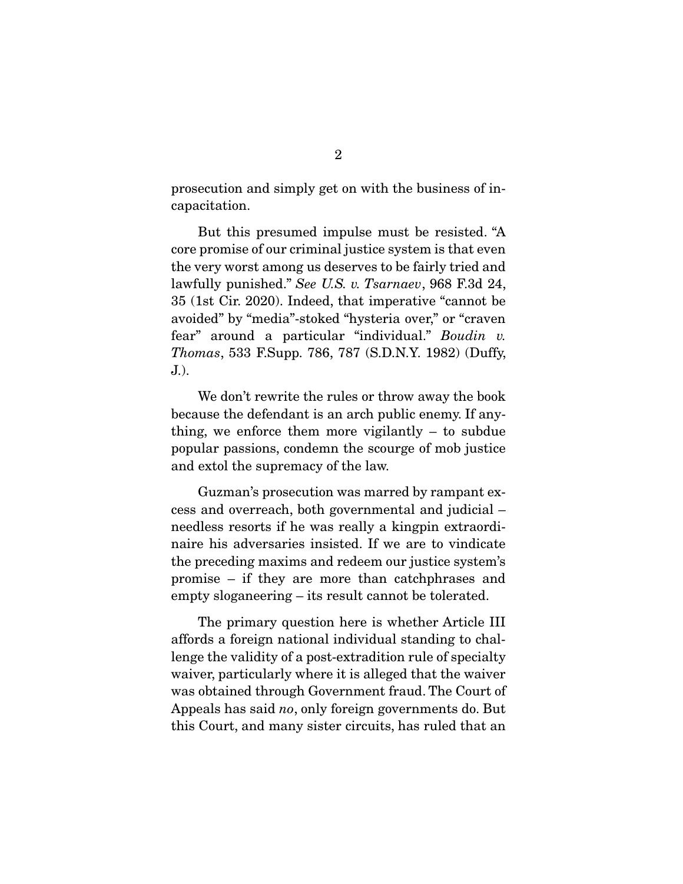prosecution and simply get on with the business of incapacitation.

 But this presumed impulse must be resisted. "A core promise of our criminal justice system is that even the very worst among us deserves to be fairly tried and lawfully punished." See U.S. v. Tsarnaev, 968 F.3d 24, 35 (1st Cir. 2020). Indeed, that imperative "cannot be avoided" by "media"-stoked "hysteria over," or "craven fear" around a particular "individual." Boudin v. Thomas, 533 F.Supp. 786, 787 (S.D.N.Y. 1982) (Duffy, J.).

 We don't rewrite the rules or throw away the book because the defendant is an arch public enemy. If anything, we enforce them more vigilantly – to subdue popular passions, condemn the scourge of mob justice and extol the supremacy of the law.

 Guzman's prosecution was marred by rampant excess and overreach, both governmental and judicial – needless resorts if he was really a kingpin extraordinaire his adversaries insisted. If we are to vindicate the preceding maxims and redeem our justice system's promise – if they are more than catchphrases and empty sloganeering – its result cannot be tolerated.

 The primary question here is whether Article III affords a foreign national individual standing to challenge the validity of a post-extradition rule of specialty waiver, particularly where it is alleged that the waiver was obtained through Government fraud. The Court of Appeals has said no, only foreign governments do. But this Court, and many sister circuits, has ruled that an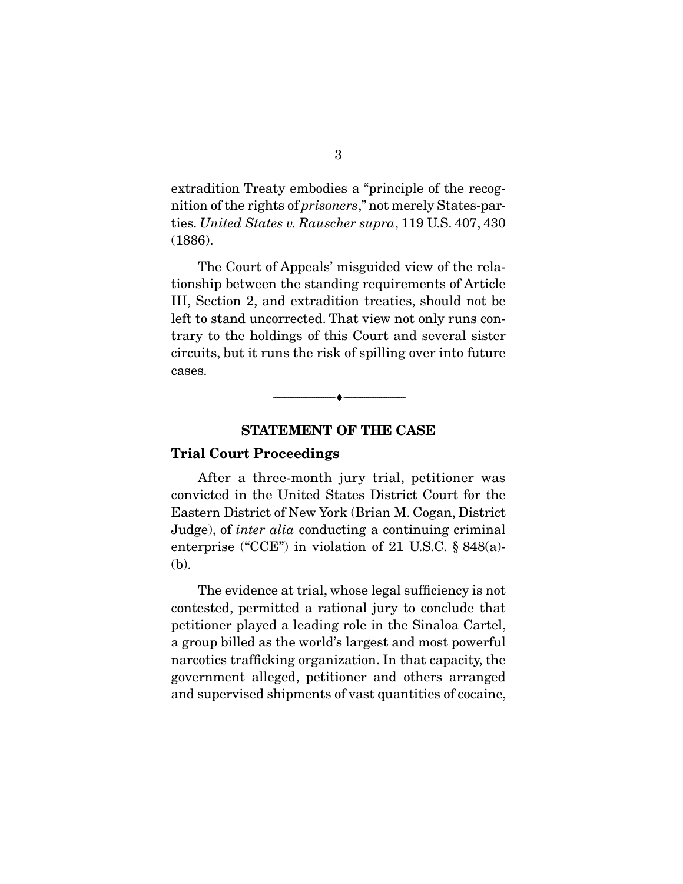extradition Treaty embodies a "principle of the recognition of the rights of prisoners," not merely States-parties. United States v. Rauscher supra, 119 U.S. 407, 430 (1886).

 The Court of Appeals' misguided view of the relationship between the standing requirements of Article III, Section 2, and extradition treaties, should not be left to stand uncorrected. That view not only runs contrary to the holdings of this Court and several sister circuits, but it runs the risk of spilling over into future cases.



#### **STATEMENT OF THE CASE**

#### **Trial Court Proceedings**

 After a three-month jury trial, petitioner was convicted in the United States District Court for the Eastern District of New York (Brian M. Cogan, District Judge), of inter alia conducting a continuing criminal enterprise ("CCE") in violation of 21 U.S.C. § 848(a)- (b).

 The evidence at trial, whose legal sufficiency is not contested, permitted a rational jury to conclude that petitioner played a leading role in the Sinaloa Cartel, a group billed as the world's largest and most powerful narcotics trafficking organization. In that capacity, the government alleged, petitioner and others arranged and supervised shipments of vast quantities of cocaine,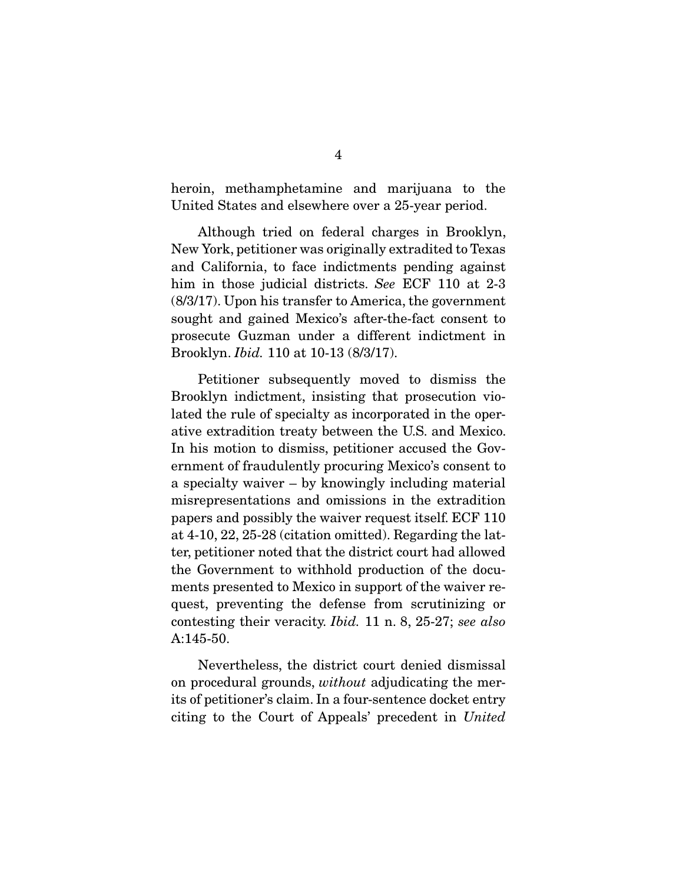heroin, methamphetamine and marijuana to the United States and elsewhere over a 25-year period.

 Although tried on federal charges in Brooklyn, New York, petitioner was originally extradited to Texas and California, to face indictments pending against him in those judicial districts. See ECF 110 at 2-3 (8/3/17). Upon his transfer to America, the government sought and gained Mexico's after-the-fact consent to prosecute Guzman under a different indictment in Brooklyn. Ibid. 110 at 10-13 (8/3/17).

 Petitioner subsequently moved to dismiss the Brooklyn indictment, insisting that prosecution violated the rule of specialty as incorporated in the operative extradition treaty between the U.S. and Mexico. In his motion to dismiss, petitioner accused the Government of fraudulently procuring Mexico's consent to a specialty waiver – by knowingly including material misrepresentations and omissions in the extradition papers and possibly the waiver request itself. ECF 110 at 4-10, 22, 25-28 (citation omitted). Regarding the latter, petitioner noted that the district court had allowed the Government to withhold production of the documents presented to Mexico in support of the waiver request, preventing the defense from scrutinizing or contesting their veracity. Ibid. 11 n. 8, 25-27; see also A:145-50.

 Nevertheless, the district court denied dismissal on procedural grounds, without adjudicating the merits of petitioner's claim. In a four-sentence docket entry citing to the Court of Appeals' precedent in United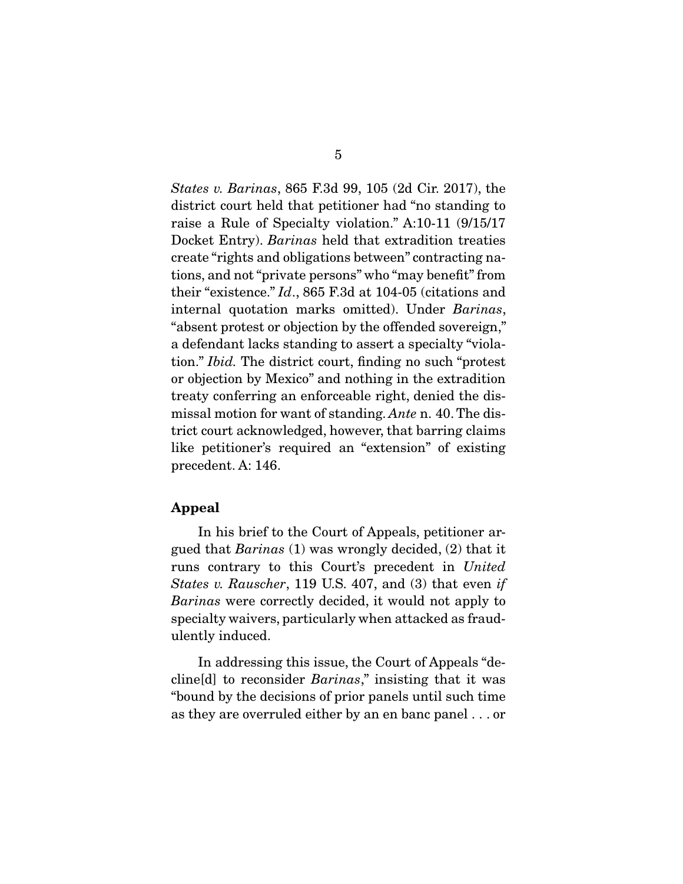States v. Barinas, 865 F.3d 99, 105 (2d Cir. 2017), the district court held that petitioner had "no standing to raise a Rule of Specialty violation." A:10-11 (9/15/17 Docket Entry). Barinas held that extradition treaties create "rights and obligations between" contracting nations, and not "private persons" who "may benefit" from their "existence." Id., 865 F.3d at 104-05 (citations and internal quotation marks omitted). Under Barinas, "absent protest or objection by the offended sovereign," a defendant lacks standing to assert a specialty "violation." Ibid. The district court, finding no such "protest or objection by Mexico" and nothing in the extradition treaty conferring an enforceable right, denied the dismissal motion for want of standing. Ante n. 40. The district court acknowledged, however, that barring claims like petitioner's required an "extension" of existing precedent. A: 146.

#### **Appeal**

 In his brief to the Court of Appeals, petitioner argued that Barinas (1) was wrongly decided, (2) that it runs contrary to this Court's precedent in United States v. Rauscher, 119 U.S. 407, and (3) that even if Barinas were correctly decided, it would not apply to specialty waivers, particularly when attacked as fraudulently induced.

 In addressing this issue, the Court of Appeals "decline[d] to reconsider Barinas," insisting that it was "bound by the decisions of prior panels until such time as they are overruled either by an en banc panel . . . or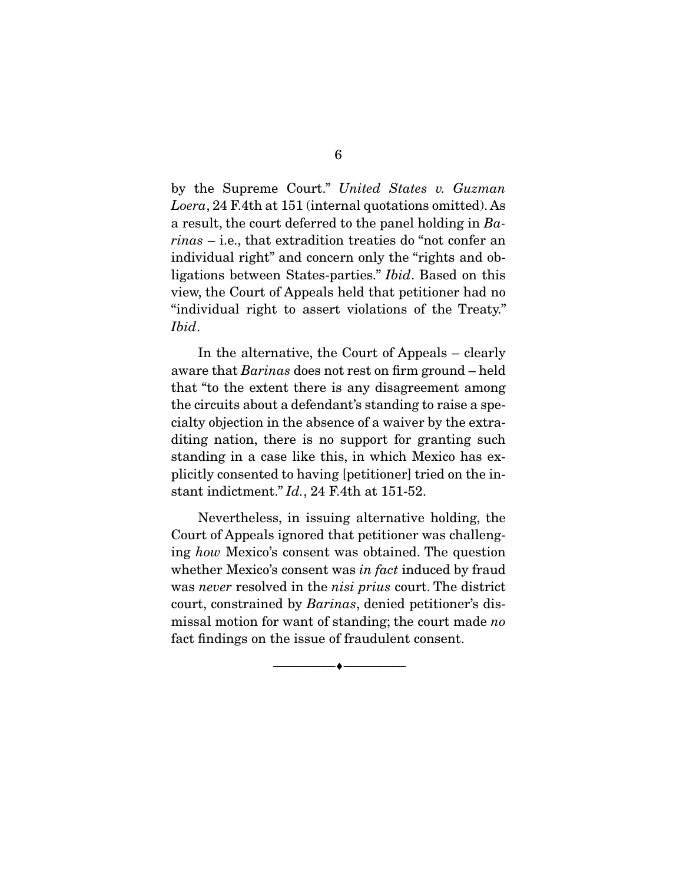by the Supreme Court." United States v. Guzman Loera, 24 F.4th at 151 (internal quotations omitted). As a result, the court deferred to the panel holding in  $Ba$ rinas – i.e., that extradition treaties do "not confer an individual right" and concern only the "rights and obligations between States-parties." Ibid. Based on this view, the Court of Appeals held that petitioner had no "individual right to assert violations of the Treaty." Ibid.

 In the alternative, the Court of Appeals – clearly aware that Barinas does not rest on firm ground – held that "to the extent there is any disagreement among the circuits about a defendant's standing to raise a specialty objection in the absence of a waiver by the extraditing nation, there is no support for granting such standing in a case like this, in which Mexico has explicitly consented to having [petitioner] tried on the instant indictment." Id., 24 F.4th at 151-52.

 Nevertheless, in issuing alternative holding, the Court of Appeals ignored that petitioner was challenging how Mexico's consent was obtained. The question whether Mexico's consent was *in fact* induced by fraud was *never* resolved in the *nisi prius* court. The district court, constrained by Barinas, denied petitioner's dismissal motion for want of standing; the court made no fact findings on the issue of fraudulent consent.

--------------------------------- ♦ ---------------------------------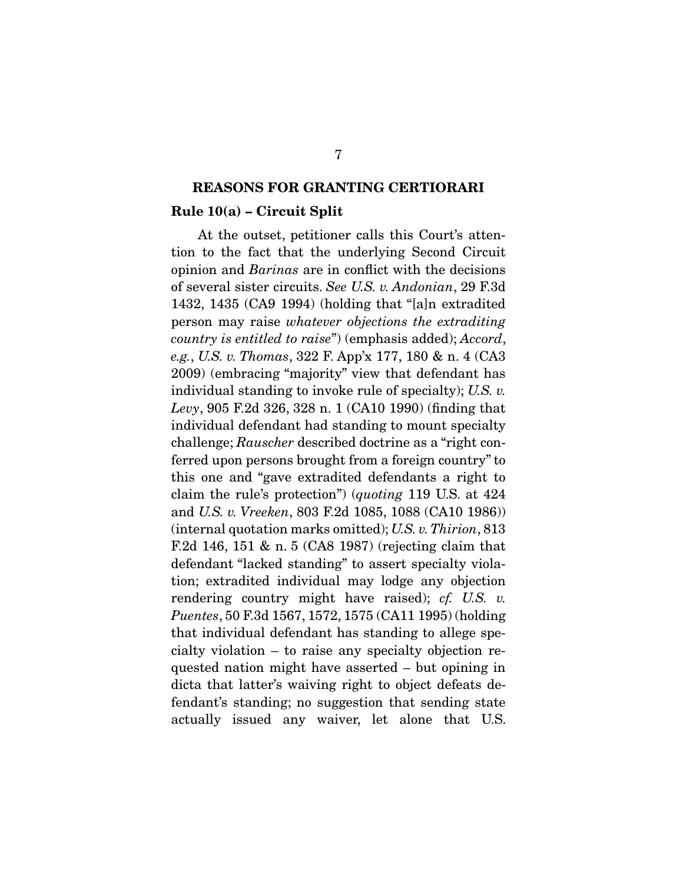#### **REASONS FOR GRANTING CERTIORARI**

#### **Rule 10(a) – Circuit Split**

 At the outset, petitioner calls this Court's attention to the fact that the underlying Second Circuit opinion and Barinas are in conflict with the decisions of several sister circuits. See U.S. v. Andonian, 29 F.3d 1432, 1435 (CA9 1994) (holding that "[a]n extradited person may raise whatever objections the extraditing country is entitled to raise") (emphasis added); Accord, e.g., U.S. v. Thomas, 322 F. App'x 177, 180 & n. 4 (CA3 2009) (embracing "majority" view that defendant has individual standing to invoke rule of specialty); U.S. v. Levy, 905 F.2d 326, 328 n. 1 (CA10 1990) (finding that individual defendant had standing to mount specialty challenge; Rauscher described doctrine as a "right conferred upon persons brought from a foreign country" to this one and "gave extradited defendants a right to claim the rule's protection") (quoting 119 U.S. at 424 and U.S. v. Vreeken, 803 F.2d 1085, 1088 (CA10 1986)) (internal quotation marks omitted); U.S. v. Thirion, 813 F.2d 146, 151 & n. 5 (CA8 1987) (rejecting claim that defendant "lacked standing" to assert specialty violation; extradited individual may lodge any objection rendering country might have raised); *cf.* U.S. v. Puentes, 50 F.3d 1567, 1572, 1575 (CA11 1995) (holding that individual defendant has standing to allege specialty violation – to raise any specialty objection requested nation might have asserted – but opining in dicta that latter's waiving right to object defeats defendant's standing; no suggestion that sending state actually issued any waiver, let alone that U.S.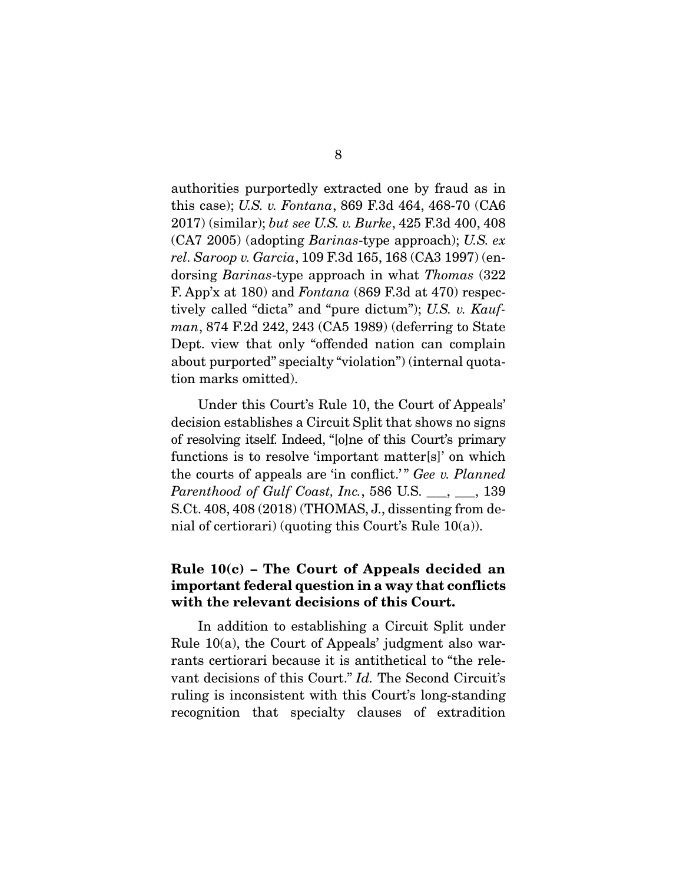authorities purportedly extracted one by fraud as in this case); U.S. v. Fontana, 869 F.3d 464, 468-70 (CA6 2017) (similar); but see U.S. v. Burke, 425 F.3d 400, 408 (CA7 2005) (adopting Barinas-type approach); U.S. ex rel. Saroop v. Garcia, 109 F.3d 165, 168 (CA3 1997) (endorsing Barinas-type approach in what Thomas (322 F. App'x at 180) and Fontana (869 F.3d at 470) respectively called "dicta" and "pure dictum"); U.S. v. Kaufman, 874 F.2d 242, 243 (CA5 1989) (deferring to State Dept. view that only "offended nation can complain about purported" specialty "violation") (internal quotation marks omitted).

 Under this Court's Rule 10, the Court of Appeals' decision establishes a Circuit Split that shows no signs of resolving itself. Indeed, "[o]ne of this Court's primary functions is to resolve 'important matter[s]' on which the courts of appeals are 'in conflict.'" Gee v. Planned Parenthood of Gulf Coast, Inc., 586 U.S.  $\_\_\_\,,\_\_\_$  139 S.Ct. 408, 408 (2018) (THOMAS, J., dissenting from denial of certiorari) (quoting this Court's Rule 10(a)).

## **Rule 10(c) – The Court of Appeals decided an important federal question in a way that conflicts with the relevant decisions of this Court.**

 In addition to establishing a Circuit Split under Rule 10(a), the Court of Appeals' judgment also warrants certiorari because it is antithetical to "the relevant decisions of this Court." Id. The Second Circuit's ruling is inconsistent with this Court's long-standing recognition that specialty clauses of extradition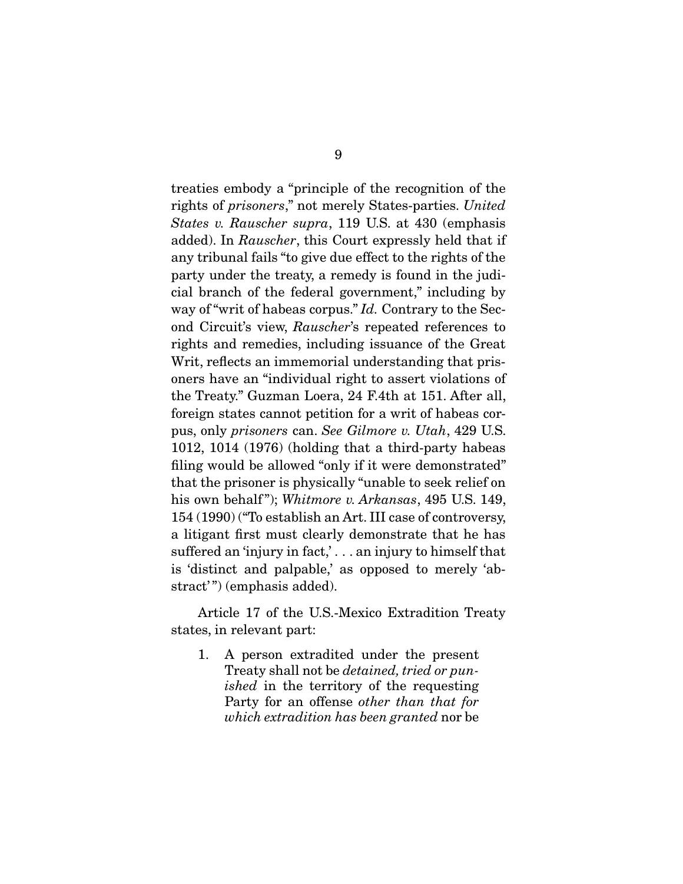treaties embody a "principle of the recognition of the rights of prisoners," not merely States-parties. United States v. Rauscher supra, 119 U.S. at 430 (emphasis added). In Rauscher, this Court expressly held that if any tribunal fails "to give due effect to the rights of the party under the treaty, a remedy is found in the judicial branch of the federal government," including by way of "writ of habeas corpus." Id. Contrary to the Second Circuit's view, Rauscher's repeated references to rights and remedies, including issuance of the Great Writ, reflects an immemorial understanding that prisoners have an "individual right to assert violations of the Treaty." Guzman Loera, 24 F.4th at 151. After all, foreign states cannot petition for a writ of habeas corpus, only prisoners can. See Gilmore v. Utah, 429 U.S. 1012, 1014 (1976) (holding that a third-party habeas filing would be allowed "only if it were demonstrated" that the prisoner is physically "unable to seek relief on his own behalf"); Whitmore v. Arkansas, 495 U.S. 149, 154 (1990) ("To establish an Art. III case of controversy, a litigant first must clearly demonstrate that he has suffered an 'injury in fact,' . . . an injury to himself that is 'distinct and palpable,' as opposed to merely 'abstract'") (emphasis added).

 Article 17 of the U.S.-Mexico Extradition Treaty states, in relevant part:

1. A person extradited under the present Treaty shall not be detained, tried or punished in the territory of the requesting Party for an offense other than that for which extradition has been granted nor be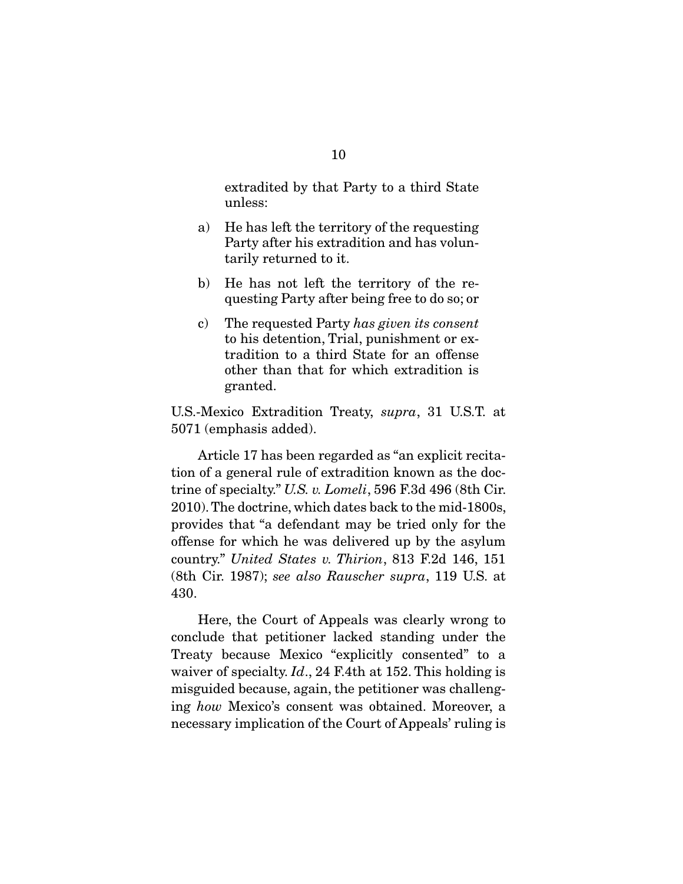extradited by that Party to a third State unless:

- a) He has left the territory of the requesting Party after his extradition and has voluntarily returned to it.
- b) He has not left the territory of the requesting Party after being free to do so; or
- c) The requested Party has given its consent to his detention, Trial, punishment or extradition to a third State for an offense other than that for which extradition is granted.

U.S.-Mexico Extradition Treaty, supra, 31 U.S.T. at 5071 (emphasis added).

 Article 17 has been regarded as "an explicit recitation of a general rule of extradition known as the doctrine of specialty." U.S. v. Lomeli, 596 F.3d 496 (8th Cir. 2010). The doctrine, which dates back to the mid-1800s, provides that "a defendant may be tried only for the offense for which he was delivered up by the asylum country." United States v. Thirion, 813 F.2d 146, 151 (8th Cir. 1987); see also Rauscher supra, 119 U.S. at 430.

 Here, the Court of Appeals was clearly wrong to conclude that petitioner lacked standing under the Treaty because Mexico "explicitly consented" to a waiver of specialty.  $Id.$ , 24 F.4th at 152. This holding is misguided because, again, the petitioner was challenging how Mexico's consent was obtained. Moreover, a necessary implication of the Court of Appeals' ruling is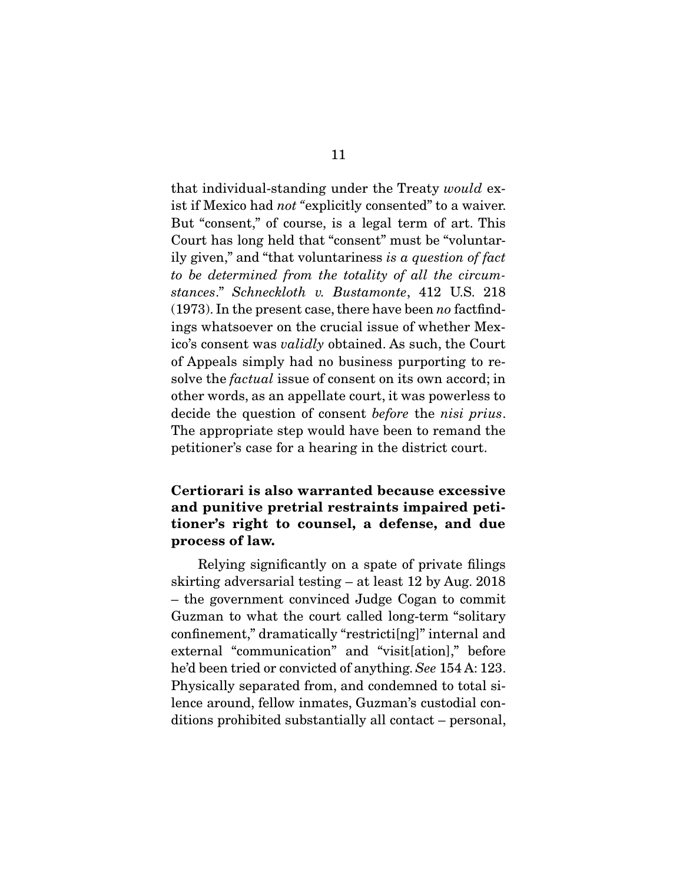that individual-standing under the Treaty would exist if Mexico had not "explicitly consented" to a waiver. But "consent," of course, is a legal term of art. This Court has long held that "consent" must be "voluntarily given," and "that voluntariness is a question of fact to be determined from the totality of all the circumstances." Schneckloth v. Bustamonte, 412 U.S. 218  $(1973)$ . In the present case, there have been no factfindings whatsoever on the crucial issue of whether Mexico's consent was validly obtained. As such, the Court of Appeals simply had no business purporting to resolve the *factual* issue of consent on its own accord; in other words, as an appellate court, it was powerless to decide the question of consent before the nisi prius. The appropriate step would have been to remand the petitioner's case for a hearing in the district court.

## **Certiorari is also warranted because excessive and punitive pretrial restraints impaired petitioner's right to counsel, a defense, and due process of law.**

 Relying significantly on a spate of private filings skirting adversarial testing – at least 12 by Aug. 2018 – the government convinced Judge Cogan to commit Guzman to what the court called long-term "solitary confinement," dramatically "restricti[ng]" internal and external "communication" and "visit[ation]," before he'd been tried or convicted of anything. See 154 A: 123. Physically separated from, and condemned to total silence around, fellow inmates, Guzman's custodial conditions prohibited substantially all contact – personal,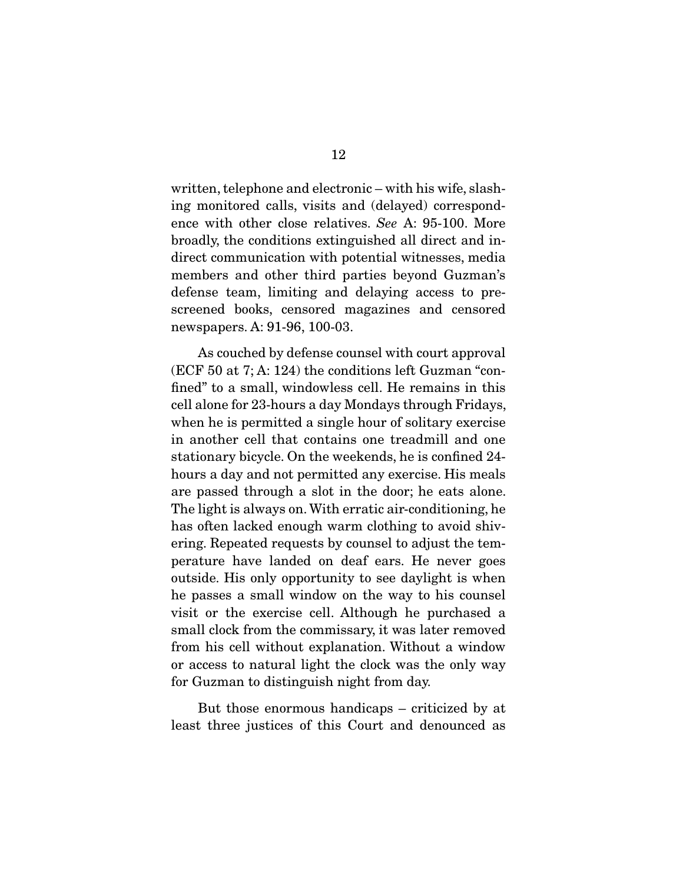written, telephone and electronic – with his wife, slashing monitored calls, visits and (delayed) correspondence with other close relatives. See A: 95-100. More broadly, the conditions extinguished all direct and indirect communication with potential witnesses, media members and other third parties beyond Guzman's defense team, limiting and delaying access to prescreened books, censored magazines and censored newspapers. A: 91-96, 100-03.

 As couched by defense counsel with court approval (ECF 50 at 7; A: 124) the conditions left Guzman "confined" to a small, windowless cell. He remains in this cell alone for 23-hours a day Mondays through Fridays, when he is permitted a single hour of solitary exercise in another cell that contains one treadmill and one stationary bicycle. On the weekends, he is confined 24 hours a day and not permitted any exercise. His meals are passed through a slot in the door; he eats alone. The light is always on. With erratic air-conditioning, he has often lacked enough warm clothing to avoid shivering. Repeated requests by counsel to adjust the temperature have landed on deaf ears. He never goes outside. His only opportunity to see daylight is when he passes a small window on the way to his counsel visit or the exercise cell. Although he purchased a small clock from the commissary, it was later removed from his cell without explanation. Without a window or access to natural light the clock was the only way for Guzman to distinguish night from day.

 But those enormous handicaps – criticized by at least three justices of this Court and denounced as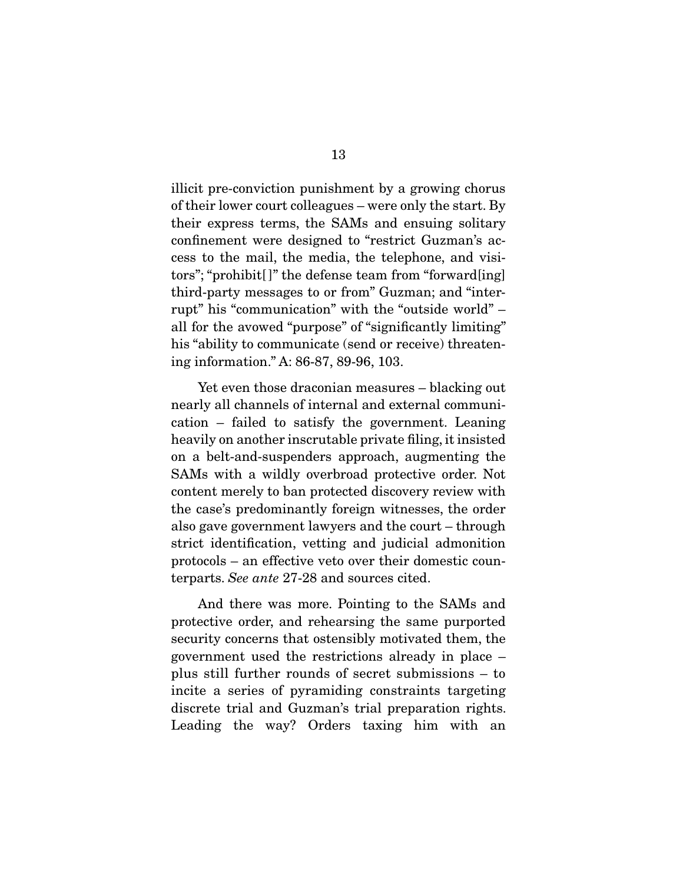illicit pre-conviction punishment by a growing chorus of their lower court colleagues – were only the start. By their express terms, the SAMs and ensuing solitary confinement were designed to "restrict Guzman's access to the mail, the media, the telephone, and visitors"; "prohibit[ ]" the defense team from "forward[ing] third-party messages to or from" Guzman; and "interrupt" his "communication" with the "outside world" – all for the avowed "purpose" of "significantly limiting" his "ability to communicate (send or receive) threatening information." A: 86-87, 89-96, 103.

 Yet even those draconian measures – blacking out nearly all channels of internal and external communication – failed to satisfy the government. Leaning heavily on another inscrutable private filing, it insisted on a belt-and-suspenders approach, augmenting the SAMs with a wildly overbroad protective order. Not content merely to ban protected discovery review with the case's predominantly foreign witnesses, the order also gave government lawyers and the court – through strict identification, vetting and judicial admonition protocols – an effective veto over their domestic counterparts. See ante 27-28 and sources cited.

 And there was more. Pointing to the SAMs and protective order, and rehearsing the same purported security concerns that ostensibly motivated them, the government used the restrictions already in place – plus still further rounds of secret submissions – to incite a series of pyramiding constraints targeting discrete trial and Guzman's trial preparation rights. Leading the way? Orders taxing him with an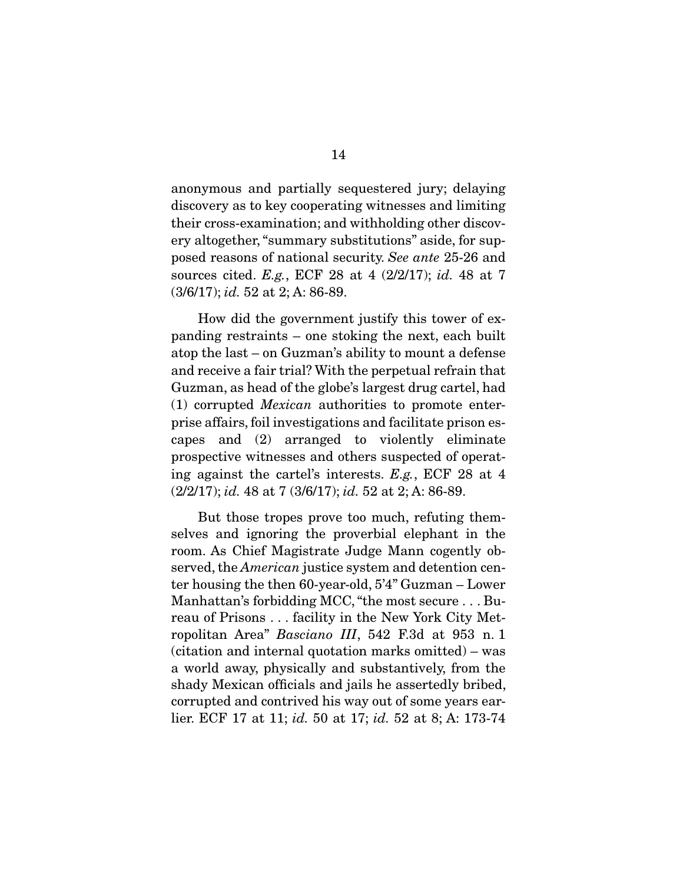anonymous and partially sequestered jury; delaying discovery as to key cooperating witnesses and limiting their cross-examination; and withholding other discovery altogether, "summary substitutions" aside, for supposed reasons of national security. See ante 25-26 and sources cited. E.g., ECF 28 at 4 (2/2/17); id. 48 at 7 (3/6/17); id. 52 at 2; A: 86-89.

 How did the government justify this tower of expanding restraints – one stoking the next, each built atop the last – on Guzman's ability to mount a defense and receive a fair trial? With the perpetual refrain that Guzman, as head of the globe's largest drug cartel, had (1) corrupted Mexican authorities to promote enterprise affairs, foil investigations and facilitate prison escapes and (2) arranged to violently eliminate prospective witnesses and others suspected of operating against the cartel's interests. E.g., ECF 28 at 4  $(2/2/17)$ ; *id.* 48 at 7  $(3/6/17)$ ; *id.* 52 at 2; A: 86-89.

 But those tropes prove too much, refuting themselves and ignoring the proverbial elephant in the room. As Chief Magistrate Judge Mann cogently observed, the *American* justice system and detention center housing the then 60-year-old, 5'4" Guzman – Lower Manhattan's forbidding MCC, "the most secure . . . Bureau of Prisons . . . facility in the New York City Metropolitan Area" Basciano III, 542 F.3d at 953 n. 1 (citation and internal quotation marks omitted) – was a world away, physically and substantively, from the shady Mexican officials and jails he assertedly bribed, corrupted and contrived his way out of some years earlier. ECF 17 at 11; *id.* 50 at 17; *id.* 52 at 8; A: 173-74